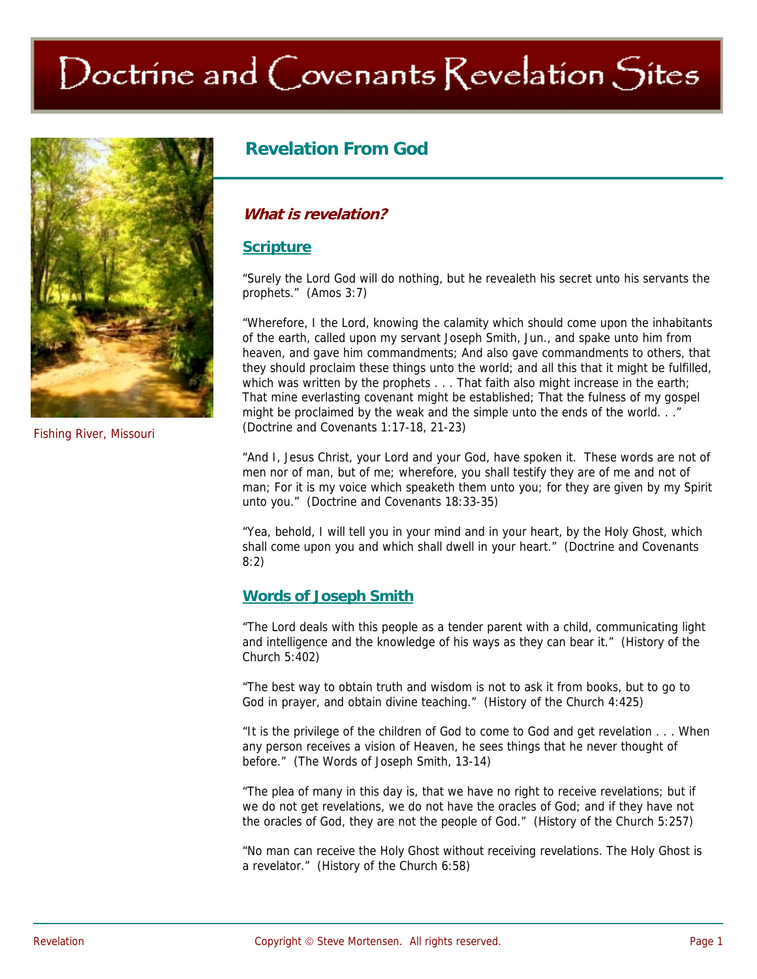# Doctrine and Covenants Revelation Sites



## **Revelation From God**

## **What is revelation?**

#### **Scripture**

"Surely the Lord God will do nothing, but he revealeth his secret unto his servants the prophets." (Amos 3:7)

"Wherefore, I the Lord, knowing the calamity which should come upon the inhabitants of the earth, called upon my servant Joseph Smith, Jun., and spake unto him from heaven, and gave him commandments; And also gave commandments to others, that they should proclaim these things unto the world; and all this that it might be fulfilled, which was written by the prophets . . . That faith also might increase in the earth; That mine everlasting covenant might be established; That the fulness of my gospel might be proclaimed by the weak and the simple unto the ends of the world. . ." (Doctrine and Covenants 1:17-18, 21-23)

"And I, Jesus Christ, your Lord and your God, have spoken it. These words are not of men nor of man, but of me; wherefore, you shall testify they are of me and not of man; For it is my voice which speaketh them unto you; for they are given by my Spirit unto you." (Doctrine and Covenants 18:33-35)

"Yea, behold, I will tell you in your mind and in your heart, by the Holy Ghost, which shall come upon you and which shall dwell in your heart." (Doctrine and Covenants 8:2)

## **Words of Joseph Smith**

"The Lord deals with this people as a tender parent with a child, communicating light and intelligence and the knowledge of his ways as they can bear it." (History of the Church 5:402)

"The best way to obtain truth and wisdom is not to ask it from books, but to go to God in prayer, and obtain divine teaching." (History of the Church 4:425)

"It is the privilege of the children of God to come to God and get revelation . . . When any person receives a vision of Heaven, he sees things that he never thought of before." (The Words of Joseph Smith, 13-14)

"The plea of many in this day is, that we have no right to receive revelations; but if we do not get revelations, we do not have the oracles of God; and if they have not the oracles of God, they are not the people of God." (History of the Church 5:257)

"No man can receive the Holy Ghost without receiving revelations. The Holy Ghost is a revelator." (History of the Church 6:58)

Fishing River, Missouri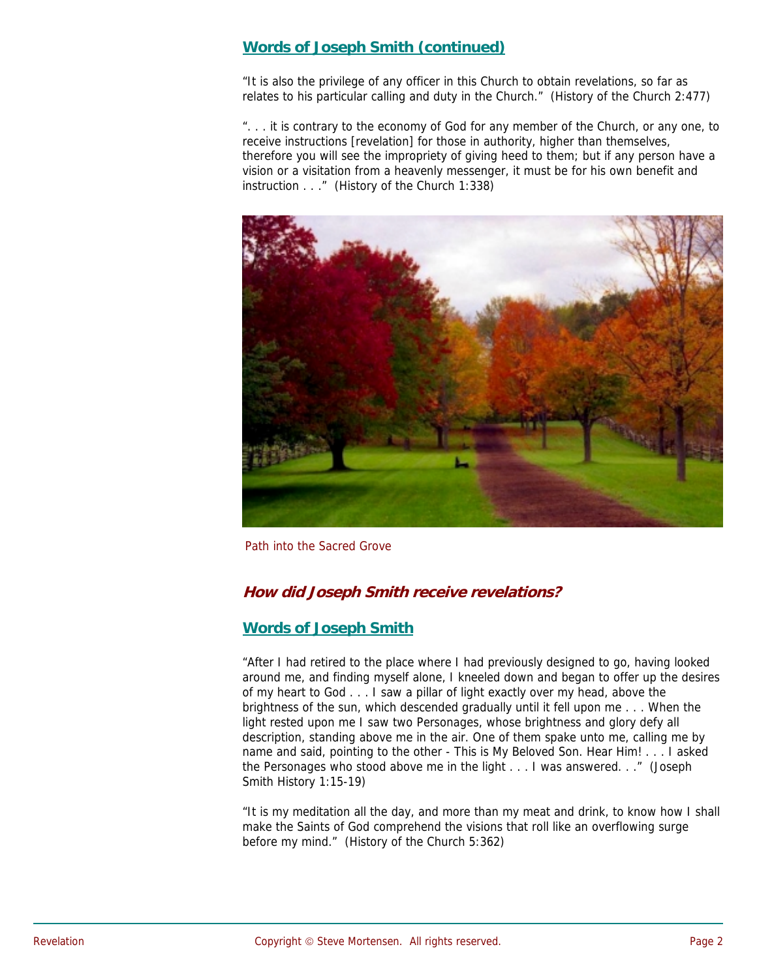## **Words of Joseph Smith (continued)**

"It is also the privilege of any officer in this Church to obtain revelations, so far as relates to his particular calling and duty in the Church." (History of the Church 2:477)

". . . it is contrary to the economy of God for any member of the Church, or any one, to receive instructions [revelation] for those in authority, higher than themselves, therefore you will see the impropriety of giving heed to them; but if any person have a vision or a visitation from a heavenly messenger, it must be for his own benefit and instruction . . ." (History of the Church 1:338)



Path into the Sacred Grove

## **How did Joseph Smith receive revelations?**

## **Words of Joseph Smith**

"After I had retired to the place where I had previously designed to go, having looked around me, and finding myself alone, I kneeled down and began to offer up the desires of my heart to God . . . I saw a pillar of light exactly over my head, above the brightness of the sun, which descended gradually until it fell upon me . . . When the light rested upon me I saw two Personages, whose brightness and glory defy all description, standing above me in the air. One of them spake unto me, calling me by name and said, pointing to the other - This is My Beloved Son. Hear Him! . . . I asked the Personages who stood above me in the light . . . I was answered. . ." (Joseph Smith History 1:15-19)

"It is my meditation all the day, and more than my meat and drink, to know how I shall make the Saints of God comprehend the visions that roll like an overflowing surge before my mind." (History of the Church 5:362)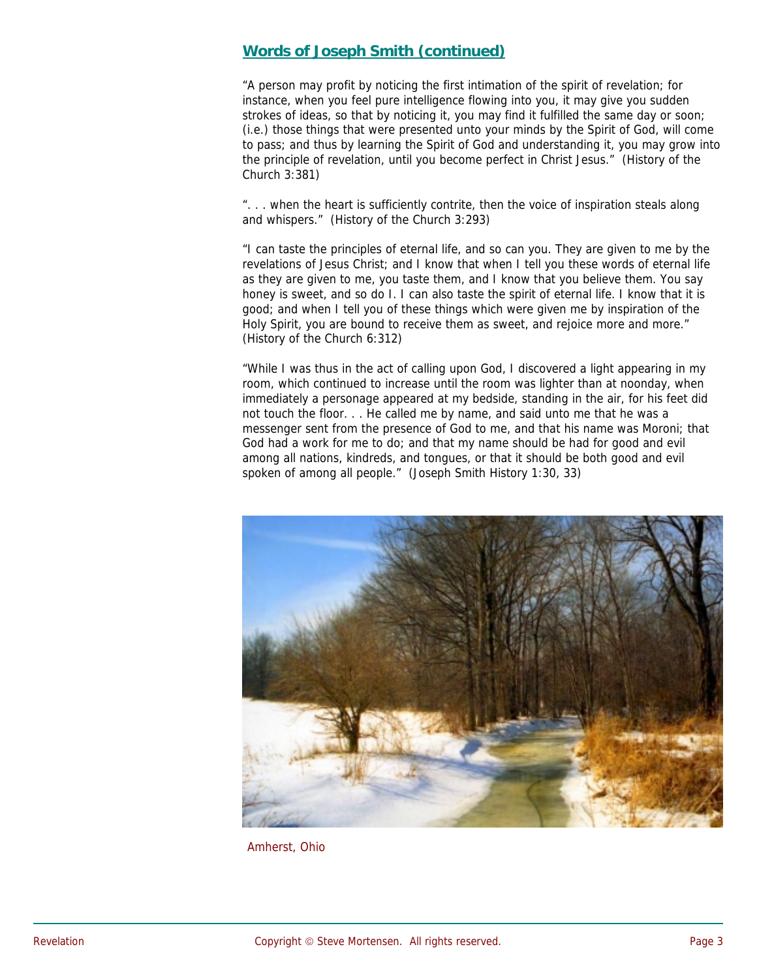## **Words of Joseph Smith (continued)**

"A person may profit by noticing the first intimation of the spirit of revelation; for instance, when you feel pure intelligence flowing into you, it may give you sudden strokes of ideas, so that by noticing it, you may find it fulfilled the same day or soon; (i.e.) those things that were presented unto your minds by the Spirit of God, will come to pass; and thus by learning the Spirit of God and understanding it, you may grow into the principle of revelation, until you become perfect in Christ Jesus." (History of the Church 3:381)

". . . when the heart is sufficiently contrite, then the voice of inspiration steals along and whispers." (History of the Church 3:293)

"I can taste the principles of eternal life, and so can you. They are given to me by the revelations of Jesus Christ; and I know that when I tell you these words of eternal life as they are given to me, you taste them, and I know that you believe them. You say honey is sweet, and so do I. I can also taste the spirit of eternal life. I know that it is good; and when I tell you of these things which were given me by inspiration of the Holy Spirit, you are bound to receive them as sweet, and rejoice more and more." (History of the Church 6:312)

"While I was thus in the act of calling upon God, I discovered a light appearing in my room, which continued to increase until the room was lighter than at noonday, when immediately a personage appeared at my bedside, standing in the air, for his feet did not touch the floor. . . He called me by name, and said unto me that he was a messenger sent from the presence of God to me, and that his name was Moroni; that God had a work for me to do; and that my name should be had for good and evil among all nations, kindreds, and tongues, or that it should be both good and evil spoken of among all people." (Joseph Smith History 1:30, 33)



Amherst, Ohio